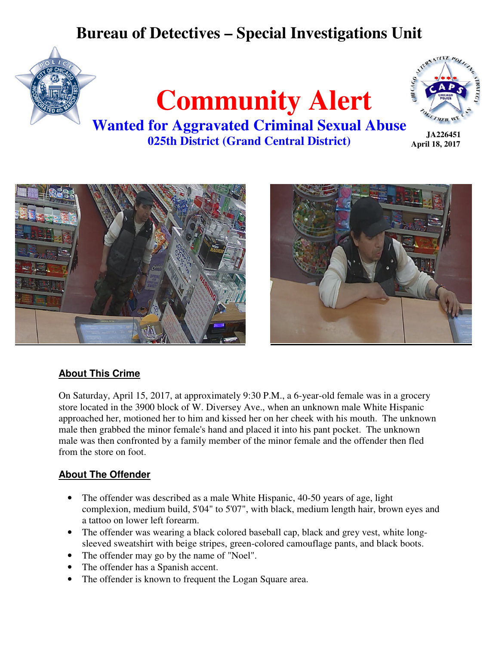# **Bureau of Detectives – Special Investigations Unit**





**JA226451 April 18, 2017** 

**Wanted for Aggravated Criminal Sexual Abuse 025th District (Grand Central District)** 





### **About This Crime**

On Saturday, April 15, 2017, at approximately 9:30 P.M., a 6-year-old female was in a grocery store located in the 3900 block of W. Diversey Ave., when an unknown male White Hispanic approached her, motioned her to him and kissed her on her cheek with his mouth. The unknown male then grabbed the minor female's hand and placed it into his pant pocket. The unknown male was then confronted by a family member of the minor female and the offender then fled from the store on foot.

### **About The Offender**

- The offender was described as a male White Hispanic, 40-50 years of age, light complexion, medium build, 5'04" to 5'07", with black, medium length hair, brown eyes and a tattoo on lower left forearm.
- The offender was wearing a black colored baseball cap, black and grey vest, white longsleeved sweatshirt with beige stripes, green-colored camouflage pants, and black boots.
- The offender may go by the name of "Noel".
- The offender has a Spanish accent.
- The offender is known to frequent the Logan Square area.